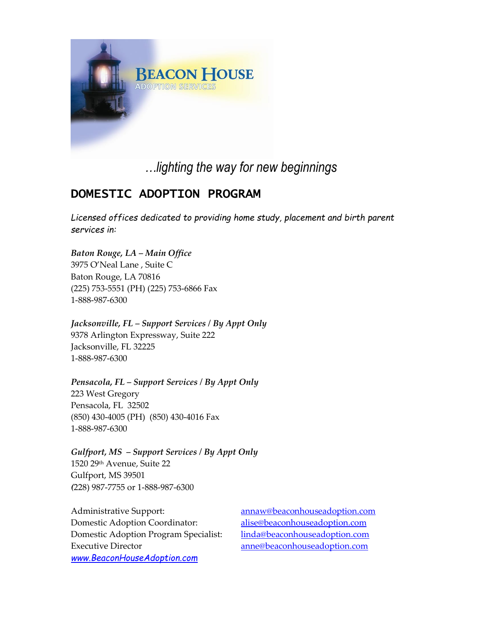

# *…lighting the way for new beginnings*

# DOMESTIC ADOPTION PROGRAM

*Licensed offices dedicated to providing home study, placement and birth parent services in:*

*Baton Rouge, LA – Main Office* 3975 O'Neal Lane , Suite C Baton Rouge, LA 70816 (225) 753-5551 (PH) (225) 753-6866 Fax 1-888-987-6300

*Jacksonville, FL – Support Services / By Appt Only* 9378 Arlington Expressway, Suite 222 Jacksonville, FL 32225 1-888-987-6300

*Pensacola, FL – Support Services / By Appt Only* 223 West Gregory Pensacola, FL 32502 (850) 430-4005 (PH) (850) 430-4016 Fax 1-888-987-6300

*Gulfport, MS – Support Services / By Appt Only* 1520 29th Avenue, Suite 22 Gulfport, MS 39501 *(*228) 987-7755 or 1-888-987-6300

Administrative Support: [annaw@beaconhouseadoption.com](mailto:annaw@beaconhouseadoption.com) Domestic Adoption Coordinator: [alise@beaconhouseadoption.com](mailto:alise@beaconhouseadoption.com) Domestic Adoption Program Specialist: [linda@beaconhouseadoption.com](mailto:linda@beaconhouseadoption.com) Executive Director [anne@beaconhouseadoption.com](mailto:anne@beaconhouseadoption.com) *[www.BeaconHouseAdoption.com](https://d.docs.live.net/51b1eef64c7bef87/Documents/BHAS_Domestic%20Adoption/www.BeaconHouseAdoption.com)*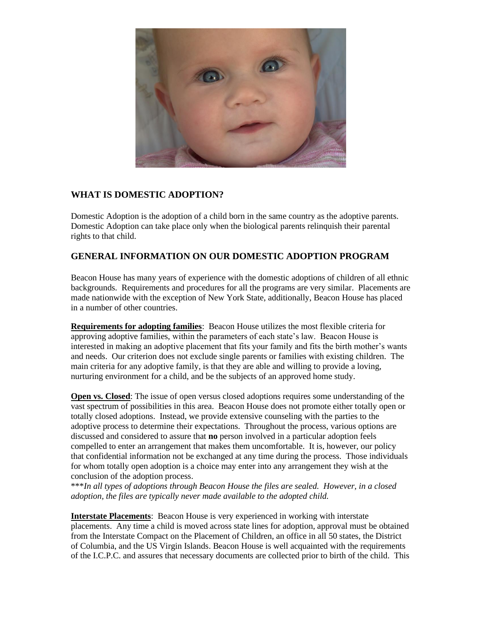

# **WHAT IS DOMESTIC ADOPTION?**

Domestic Adoption is the adoption of a child born in the same country as the adoptive parents. Domestic Adoption can take place only when the biological parents relinquish their parental rights to that child.

# **GENERAL INFORMATION ON OUR DOMESTIC ADOPTION PROGRAM**

Beacon House has many years of experience with the domestic adoptions of children of all ethnic backgrounds. Requirements and procedures for all the programs are very similar. Placements are made nationwide with the exception of New York State, additionally, Beacon House has placed in a number of other countries.

**Requirements for adopting families**: Beacon House utilizes the most flexible criteria for approving adoptive families, within the parameters of each state's law. Beacon House is interested in making an adoptive placement that fits your family and fits the birth mother's wants and needs. Our criterion does not exclude single parents or families with existing children. The main criteria for any adoptive family, is that they are able and willing to provide a loving, nurturing environment for a child, and be the subjects of an approved home study.

**Open vs. Closed**: The issue of open versus closed adoptions requires some understanding of the vast spectrum of possibilities in this area. Beacon House does not promote either totally open or totally closed adoptions. Instead, we provide extensive counseling with the parties to the adoptive process to determine their expectations. Throughout the process, various options are discussed and considered to assure that **no** person involved in a particular adoption feels compelled to enter an arrangement that makes them uncomfortable. It is, however, our policy that confidential information not be exchanged at any time during the process. Those individuals for whom totally open adoption is a choice may enter into any arrangement they wish at the conclusion of the adoption process.

\*\*\**In all types of adoptions through Beacon House the files are sealed. However, in a closed adoption, the files are typically never made available to the adopted child.*

**Interstate Placements**: Beacon House is very experienced in working with interstate placements. Any time a child is moved across state lines for adoption, approval must be obtained from the Interstate Compact on the Placement of Children, an office in all 50 states, the District of Columbia, and the US Virgin Islands. Beacon House is well acquainted with the requirements of the I.C.P.C. and assures that necessary documents are collected prior to birth of the child. This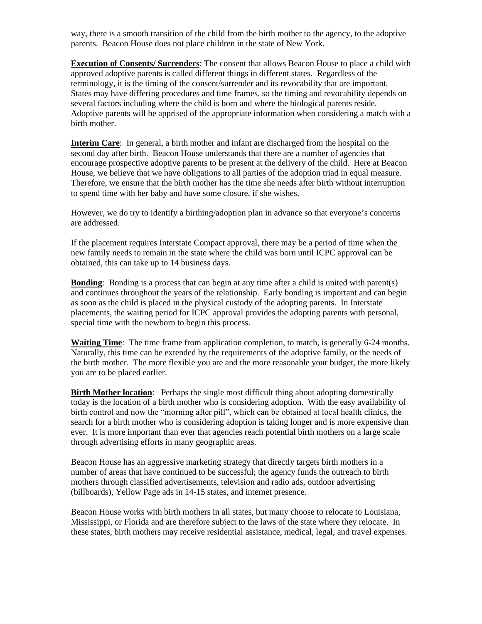way, there is a smooth transition of the child from the birth mother to the agency, to the adoptive parents. Beacon House does not place children in the state of New York.

**Execution of Consents/ Surrenders**: The consent that allows Beacon House to place a child with approved adoptive parents is called different things in different states. Regardless of the terminology, it is the timing of the consent/surrender and its revocability that are important. States may have differing procedures and time frames, so the timing and revocability depends on several factors including where the child is born and where the biological parents reside. Adoptive parents will be apprised of the appropriate information when considering a match with a birth mother.

**Interim Care**: In general, a birth mother and infant are discharged from the hospital on the second day after birth. Beacon House understands that there are a number of agencies that encourage prospective adoptive parents to be present at the delivery of the child. Here at Beacon House, we believe that we have obligations to all parties of the adoption triad in equal measure. Therefore, we ensure that the birth mother has the time she needs after birth without interruption to spend time with her baby and have some closure, if she wishes.

However, we do try to identify a birthing/adoption plan in advance so that everyone's concerns are addressed.

If the placement requires Interstate Compact approval, there may be a period of time when the new family needs to remain in the state where the child was born until ICPC approval can be obtained, this can take up to 14 business days.

**Bonding:** Bonding is a process that can begin at any time after a child is united with parent(s) and continues throughout the years of the relationship. Early bonding is important and can begin as soon as the child is placed in the physical custody of the adopting parents. In Interstate placements, the waiting period for ICPC approval provides the adopting parents with personal, special time with the newborn to begin this process.

**Waiting Time**: The time frame from application completion, to match, is generally 6-24 months. Naturally, this time can be extended by the requirements of the adoptive family, or the needs of the birth mother. The more flexible you are and the more reasonable your budget, the more likely you are to be placed earlier.

**Birth Mother location**: Perhaps the single most difficult thing about adopting domestically today is the location of a birth mother who is considering adoption. With the easy availability of birth control and now the "morning after pill", which can be obtained at local health clinics, the search for a birth mother who is considering adoption is taking longer and is more expensive than ever. It is more important than ever that agencies reach potential birth mothers on a large scale through advertising efforts in many geographic areas.

Beacon House has an aggressive marketing strategy that directly targets birth mothers in a number of areas that have continued to be successful; the agency funds the outreach to birth mothers through classified advertisements, television and radio ads, outdoor advertising (billboards), Yellow Page ads in 14-15 states, and internet presence.

Beacon House works with birth mothers in all states, but many choose to relocate to Louisiana, Mississippi, or Florida and are therefore subject to the laws of the state where they relocate. In these states, birth mothers may receive residential assistance, medical, legal, and travel expenses.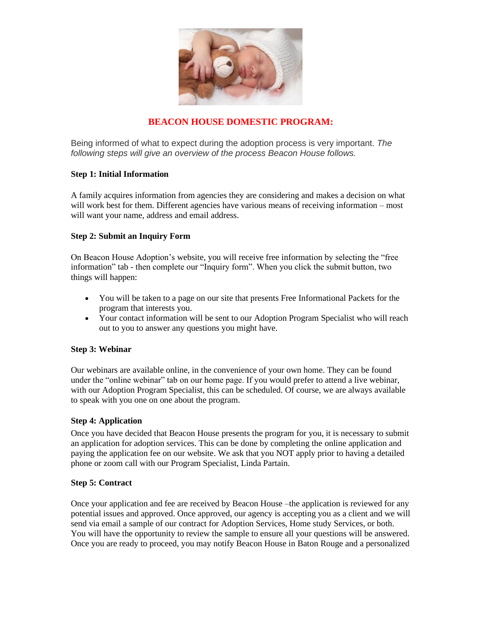

# **BEACON HOUSE DOMESTIC PROGRAM:**

Being informed of what to expect during the adoption process is very important. *The following steps will give an overview of the process Beacon House follows.*

#### **Step 1: Initial Information**

A family acquires information from agencies they are considering and makes a decision on what will work best for them. Different agencies have various means of receiving information – most will want your name, address and email address.

## **Step 2: Submit an Inquiry Form**

On Beacon House Adoption's website, you will receive free information by selecting the "free information" tab - then complete our "Inquiry form". When you click the submit button, two things will happen:

- You will be taken to a page on our site that presents Free Informational Packets for the program that interests you.
- Your contact information will be sent to our Adoption Program Specialist who will reach out to you to answer any questions you might have.

## **Step 3: Webinar**

Our webinars are available online, in the convenience of your own home. They can be found under the "online webinar" tab on our home page. If you would prefer to attend a live webinar, with our Adoption Program Specialist, this can be scheduled. Of course, we are always available to speak with you one on one about the program.

#### **Step 4: Application**

Once you have decided that Beacon House presents the program for you, it is necessary to submit an application for adoption services. This can be done by completing the online application and paying the application fee on our website. We ask that you NOT apply prior to having a detailed phone or zoom call with our Program Specialist, Linda Partain.

#### **Step 5: Contract**

Once your application and fee are received by Beacon House –the application is reviewed for any potential issues and approved. Once approved, our agency is accepting you as a client and we will send via email a sample of our contract for Adoption Services, Home study Services, or both. You will have the opportunity to review the sample to ensure all your questions will be answered. Once you are ready to proceed, you may notify Beacon House in Baton Rouge and a personalized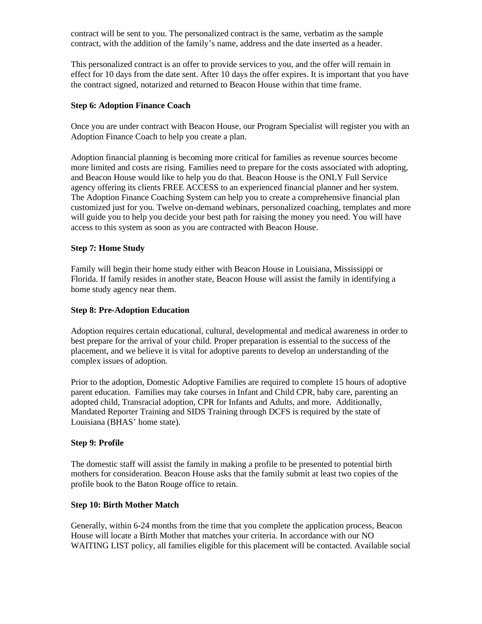contract will be sent to you. The personalized contract is the same, verbatim as the sample contract, with the addition of the family's name, address and the date inserted as a header.

This personalized contract is an offer to provide services to you, and the offer will remain in effect for 10 days from the date sent. After 10 days the offer expires. It is important that you have the contract signed, notarized and returned to Beacon House within that time frame.

#### **Step 6: Adoption Finance Coach**

Once you are under contract with Beacon House, our Program Specialist will register you with an Adoption Finance Coach to help you create a plan.

Adoption financial planning is becoming more critical for families as revenue sources become more limited and costs are rising. Families need to prepare for the costs associated with adopting, and Beacon House would like to help you do that. Beacon House is the ONLY Full Service agency offering its clients FREE ACCESS to an experienced financial planner and her system. The Adoption Finance Coaching System can help you to create a comprehensive financial plan customized just for you. Twelve on-demand webinars, personalized coaching, templates and more will guide you to help you decide your best path for raising the money you need. You will have access to this system as soon as you are contracted with Beacon House.

#### **Step 7: Home Study**

Family will begin their home study either with Beacon House in Louisiana, Mississippi or Florida. If family resides in another state, Beacon House will assist the family in identifying a home study agency near them.

#### **Step 8: Pre-Adoption Education**

Adoption requires certain educational, cultural, developmental and medical awareness in order to best prepare for the arrival of your child. Proper preparation is essential to the success of the placement, and we believe it is vital for adoptive parents to develop an understanding of the complex issues of adoption.

Prior to the adoption, Domestic Adoptive Families are required to complete 15 hours of adoptive parent education. Families may take courses in Infant and Child CPR, baby care, parenting an adopted child, Transracial adoption, CPR for Infants and Adults, and more. Additionally, Mandated Reporter Training and SIDS Training through DCFS is required by the state of Louisiana (BHAS' home state).

#### **Step 9: Profile**

The domestic staff will assist the family in making a profile to be presented to potential birth mothers for consideration. Beacon House asks that the family submit at least two copies of the profile book to the Baton Rouge office to retain.

#### **Step 10: Birth Mother Match**

Generally, within 6-24 months from the time that you complete the application process, Beacon House will locate a Birth Mother that matches your criteria. In accordance with our NO WAITING LIST policy, all families eligible for this placement will be contacted. Available social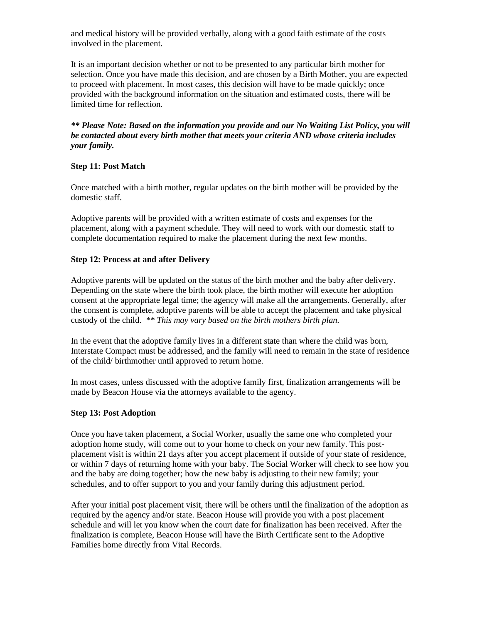and medical history will be provided verbally, along with a good faith estimate of the costs involved in the placement.

It is an important decision whether or not to be presented to any particular birth mother for selection. Once you have made this decision, and are chosen by a Birth Mother, you are expected to proceed with placement. In most cases, this decision will have to be made quickly; once provided with the background information on the situation and estimated costs, there will be limited time for reflection.

*\*\* Please Note: Based on the information you provide and our No Waiting List Policy, you will be contacted about every birth mother that meets your criteria AND whose criteria includes your family.*

#### **Step 11: Post Match**

Once matched with a birth mother, regular updates on the birth mother will be provided by the domestic staff.

Adoptive parents will be provided with a written estimate of costs and expenses for the placement, along with a payment schedule. They will need to work with our domestic staff to complete documentation required to make the placement during the next few months.

#### **Step 12: Process at and after Delivery**

Adoptive parents will be updated on the status of the birth mother and the baby after delivery. Depending on the state where the birth took place, the birth mother will execute her adoption consent at the appropriate legal time; the agency will make all the arrangements. Generally, after the consent is complete, adoptive parents will be able to accept the placement and take physical custody of the child. *\*\* This may vary based on the birth mothers birth plan.*

In the event that the adoptive family lives in a different state than where the child was born, Interstate Compact must be addressed, and the family will need to remain in the state of residence of the child/ birthmother until approved to return home.

In most cases, unless discussed with the adoptive family first, finalization arrangements will be made by Beacon House via the attorneys available to the agency.

#### **Step 13: Post Adoption**

Once you have taken placement, a Social Worker, usually the same one who completed your adoption home study, will come out to your home to check on your new family. This postplacement visit is within 21 days after you accept placement if outside of your state of residence, or within 7 days of returning home with your baby. The Social Worker will check to see how you and the baby are doing together; how the new baby is adjusting to their new family; your schedules, and to offer support to you and your family during this adjustment period.

After your initial post placement visit, there will be others until the finalization of the adoption as required by the agency and/or state. Beacon House will provide you with a post placement schedule and will let you know when the court date for finalization has been received. After the finalization is complete, Beacon House will have the Birth Certificate sent to the Adoptive Families home directly from Vital Records.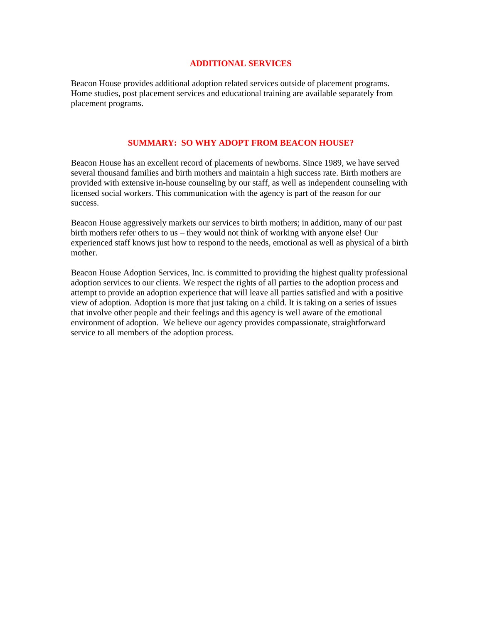#### **ADDITIONAL SERVICES**

Beacon House provides additional adoption related services outside of placement programs. Home studies, post placement services and educational training are available separately from placement programs.

#### **SUMMARY: SO WHY ADOPT FROM BEACON HOUSE?**

Beacon House has an excellent record of placements of newborns. Since 1989, we have served several thousand families and birth mothers and maintain a high success rate. Birth mothers are provided with extensive in-house counseling by our staff, as well as independent counseling with licensed social workers. This communication with the agency is part of the reason for our success.

Beacon House aggressively markets our services to birth mothers; in addition, many of our past birth mothers refer others to us – they would not think of working with anyone else! Our experienced staff knows just how to respond to the needs, emotional as well as physical of a birth mother.

Beacon House Adoption Services, Inc. is committed to providing the highest quality professional adoption services to our clients. We respect the rights of all parties to the adoption process and attempt to provide an adoption experience that will leave all parties satisfied and with a positive view of adoption. Adoption is more that just taking on a child. It is taking on a series of issues that involve other people and their feelings and this agency is well aware of the emotional environment of adoption. We believe our agency provides compassionate, straightforward service to all members of the adoption process.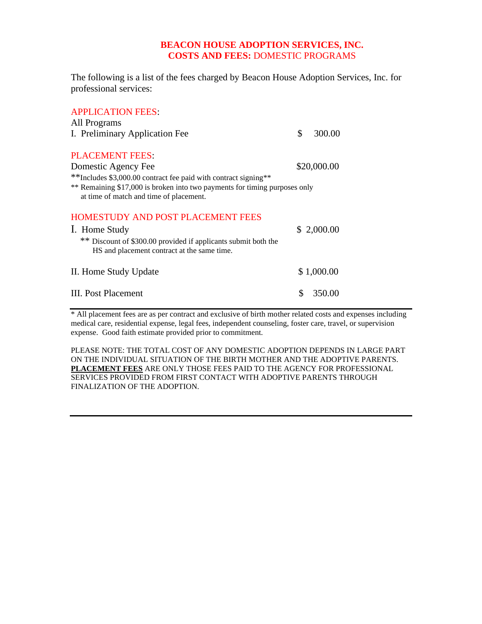# **BEACON HOUSE ADOPTION SERVICES, INC. COSTS AND FEES:** DOMESTIC PROGRAMS

The following is a list of the fees charged by Beacon House Adoption Services, Inc. for professional services:

| <b>APPLICATION FEES:</b>                                                                                              |              |  |
|-----------------------------------------------------------------------------------------------------------------------|--------------|--|
| All Programs                                                                                                          |              |  |
| I. Preliminary Application Fee                                                                                        | \$<br>300.00 |  |
| <b>PLACEMENT FEES:</b><br>Domestic Agency Fee                                                                         | \$20,000.00  |  |
| **Includes \$3,000.00 contract fee paid with contract signing**                                                       |              |  |
| ** Remaining \$17,000 is broken into two payments for timing purposes only<br>at time of match and time of placement. |              |  |
| <b>HOMESTUDY AND POST PLACEMENT FEES</b>                                                                              |              |  |
| 1. Home Study                                                                                                         | \$2,000.00   |  |
| ** Discount of \$300.00 provided if applicants submit both the<br>HS and placement contract at the same time.         |              |  |
| II. Home Study Update                                                                                                 | \$1,000.00   |  |
| III. Post Placement                                                                                                   | 350.00       |  |

\* All placement fees are as per contract and exclusive of birth mother related costs and expenses including medical care, residential expense, legal fees, independent counseling, foster care, travel, or supervision expense. Good faith estimate provided prior to commitment.

PLEASE NOTE: THE TOTAL COST OF ANY DOMESTIC ADOPTION DEPENDS IN LARGE PART ON THE INDIVIDUAL SITUATION OF THE BIRTH MOTHER AND THE ADOPTIVE PARENTS. **PLACEMENT FEES** ARE ONLY THOSE FEES PAID TO THE AGENCY FOR PROFESSIONAL SERVICES PROVIDED FROM FIRST CONTACT WITH ADOPTIVE PARENTS THROUGH FINALIZATION OF THE ADOPTION.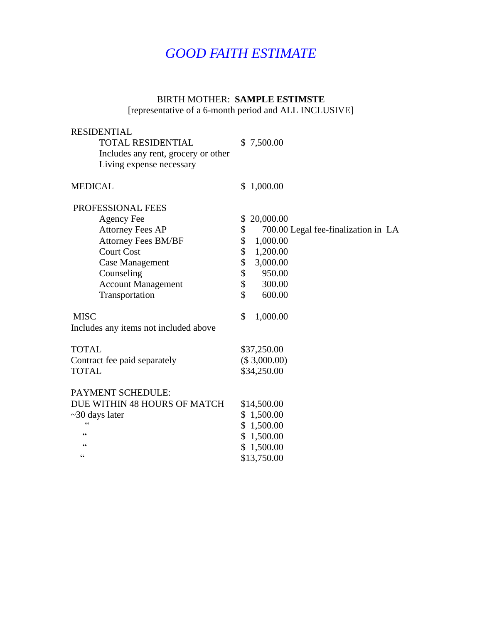# *GOOD FAITH ESTIMATE*

# BIRTH MOTHER: **SAMPLE ESTIMSTE**

[representative of a 6-month period and ALL INCLUSIVE]

| <b>RESIDENTIAL</b><br><b>TOTAL RESIDENTIAL</b><br>Includes any rent, grocery or other<br>Living expense necessary                                                                                                  | \$7,500.00                                                                                                                                                         |
|--------------------------------------------------------------------------------------------------------------------------------------------------------------------------------------------------------------------|--------------------------------------------------------------------------------------------------------------------------------------------------------------------|
| <b>MEDICAL</b>                                                                                                                                                                                                     | \$1,000.00                                                                                                                                                         |
| <b>PROFESSIONAL FEES</b><br><b>Agency Fee</b><br><b>Attorney Fees AP</b><br><b>Attorney Fees BM/BF</b><br><b>Court Cost</b><br><b>Case Management</b><br>Counseling<br><b>Account Management</b><br>Transportation | 20,000.00<br>\$<br>\$<br>700.00 Legal fee-finalization in LA<br>\$<br>1,000.00<br>\$<br>1,200.00<br>\$<br>3,000.00<br>\$<br>950.00<br>\$<br>300.00<br>\$<br>600.00 |
| <b>MISC</b><br>Includes any items not included above                                                                                                                                                               | \$<br>1,000.00                                                                                                                                                     |
| <b>TOTAL</b><br>Contract fee paid separately<br><b>TOTAL</b>                                                                                                                                                       | \$37,250.00<br>(\$3,000.00)<br>\$34,250.00                                                                                                                         |
| PAYMENT SCHEDULE:<br>DUE WITHIN 48 HOURS OF MATCH<br>$\sim$ 30 days later<br>$\epsilon$<br>66<br>66<br>66                                                                                                          | \$14,500.00<br>\$1,500.00<br>\$1,500.00<br>\$1,500.00<br>\$1,500.00<br>\$13,750.00                                                                                 |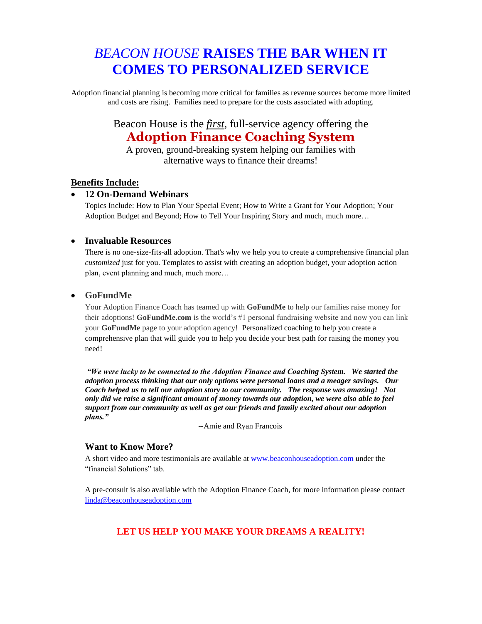# *BEACON HOUSE* **RAISES THE BAR WHEN IT COMES TO PERSONALIZED SERVICE**

Adoption financial planning is becoming more critical for families as revenue sources become more limited and costs are rising. Families need to prepare for the costs associated with adopting.

# Beacon House is the *first*, full-service agency offering the **Adoption Finance Coaching System**

A proven, ground-breaking system helping our families with alternative ways to finance their dreams!

## **Benefits Include:**

## • **12 On-Demand Webinars**

Topics Include: How to Plan Your Special Event; How to Write a Grant for Your Adoption; Your Adoption Budget and Beyond; How to Tell Your Inspiring Story and much, much more…

## • **Invaluable Resources**

There is no one-size-fits-all adoption. That's why we help you to create a comprehensive financial plan *customized* just for you. Templates to assist with creating an adoption budget, your adoption action plan, event planning and much, much more…

#### • **GoFundMe**

Your Adoption Finance Coach has teamed up with **GoFundMe** to help our families raise money for their adoptions! **GoFundMe.com** is the world's #1 personal fundraising website and now you can link your **GoFundMe** page to your adoption agency! Personalized coaching to help you create a comprehensive plan that will guide you to help you decide your best path for raising the money you need!

*"We were lucky to be connected to the Adoption Finance and Coaching System. We started the adoption process thinking that our only options were personal loans and a meager savings. Our Coach helped us to tell our adoption story to our community. The response was amazing! Not only did we raise a significant amount of money towards our adoption, we were also able to feel support from our community as well as get our friends and family excited about our adoption plans."* 

--Amie and Ryan Francois

## **Want to Know More?**

A short video and more testimonials are available at [www.beaconhouseadoption.com](http://www.beaconhouseadoption.com/) under the "financial Solutions" tab.

A pre-consult is also available with the Adoption Finance Coach, for more information please contact [linda@beaconhouseadoption.com](mailto:linda@beaconhouseadoption.com)

# **LET US HELP YOU MAKE YOUR DREAMS A REALITY!**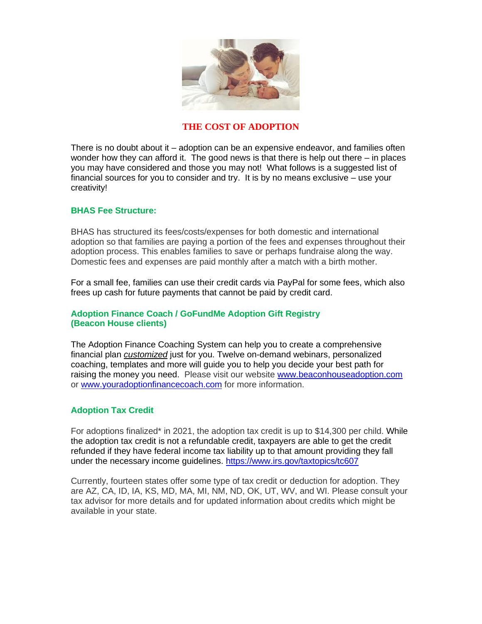

## **THE COST OF ADOPTION**

There is no doubt about it – adoption can be an expensive endeavor, and families often wonder how they can afford it. The good news is that there is help out there – in places you may have considered and those you may not! What follows is a suggested list of financial sources for you to consider and try. It is by no means exclusive – use your creativity!

#### **BHAS Fee Structure:**

BHAS has structured its fees/costs/expenses for both domestic and international adoption so that families are paying a portion of the fees and expenses throughout their adoption process. This enables families to save or perhaps fundraise along the way. Domestic fees and expenses are paid monthly after a match with a birth mother.

For a small fee, families can use their credit cards via PayPal for some fees, which also frees up cash for future payments that cannot be paid by credit card.

## **Adoption Finance Coach / GoFundMe Adoption Gift Registry (Beacon House clients)**

The Adoption Finance Coaching System can help you to create a comprehensive financial plan *customized* just for you. Twelve on-demand webinars, personalized coaching, templates and more will guide you to help you decide your best path for raising the money you need.Please visit our website [www.beaconhouseadoption.com](http://www.beaconhouseadoption.com/) or [www.youradoptionfinancecoach.com](http://www.youradoptionfinancecoach.com/) for more information.

## **Adoption Tax Credit**

For adoptions finalized\* in 2021, the adoption tax credit is up to \$14,300 per child. While the adoption tax credit is not a refundable credit, taxpayers are able to get the credit refunded if they have federal income tax liability up to that amount providing they fall under the necessary income guidelines.<https://www.irs.gov/taxtopics/tc607>

Currently, fourteen states offer some type of tax credit or deduction for adoption. They are AZ, CA, ID, IA, KS, MD, MA, MI, NM, ND, OK, UT, WV, and WI. Please consult your tax advisor for more details and for updated information about credits which might be available in your state.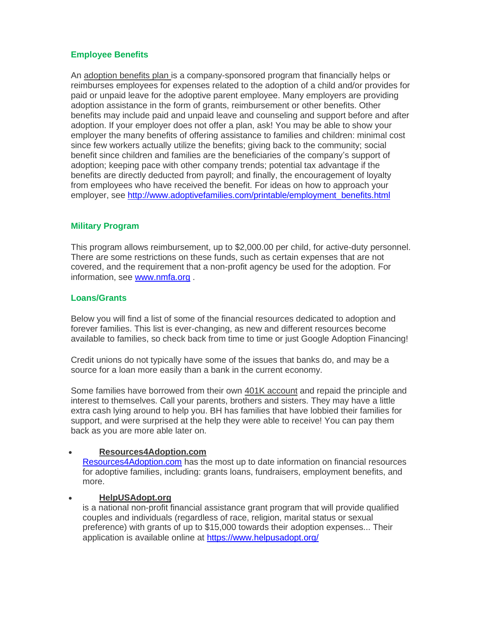# **Employee Benefits**

An adoption benefits plan is a company-sponsored program that financially helps or reimburses employees for expenses related to the adoption of a child and/or provides for paid or unpaid leave for the adoptive parent employee. Many employers are providing adoption assistance in the form of grants, reimbursement or other benefits. Other benefits may include paid and unpaid leave and counseling and support before and after adoption. If your employer does not offer a plan, ask! You may be able to show your employer the many benefits of offering assistance to families and children: minimal cost since few workers actually utilize the benefits; giving back to the community; social benefit since children and families are the beneficiaries of the company's support of adoption; keeping pace with other company trends; potential tax advantage if the benefits are directly deducted from payroll; and finally, the encouragement of loyalty from employees who have received the benefit. For ideas on how to approach your employer, see [http://www.adoptivefamilies.com/printable/employment\\_benefits.html](http://www.adoptivefamilies.com/printable/employment_benefits.html)

## **Military Program**

This program allows reimbursement, up to \$2,000.00 per child, for active-duty personnel. There are some restrictions on these funds, such as certain expenses that are not covered, and the requirement that a non-profit agency be used for the adoption. For information, see [www.nmfa.org](http://www.nmfa.org/).

## **Loans/Grants**

Below you will find a list of some of the financial resources dedicated to adoption and forever families. This list is ever-changing, as new and different resources become available to families, so check back from time to time or just Google Adoption Financing!

Credit unions do not typically have some of the issues that banks do, and may be a source for a loan more easily than a bank in the current economy.

Some families have borrowed from their own 401K account and repaid the principle and interest to themselves. Call your parents, brothers and sisters. They may have a little extra cash lying around to help you. BH has families that have lobbied their families for support, and were surprised at the help they were able to receive! You can pay them back as you are more able later on.

## • **Resources4Adoption.com**

[Resources4Adoption.com](http://resources4adoption.com/) has the most up to date information on financial resources for adoptive families, including: grants loans, fundraisers, employment benefits, and more.

#### • **HelpUSAdopt.org**

is a national non-profit financial assistance grant program that will provide qualified couples and individuals (regardless of race, religion, marital status or sexual preference) with grants of up to \$15,000 towards their adoption expenses... Their application is available online at<https://www.helpusadopt.org/>